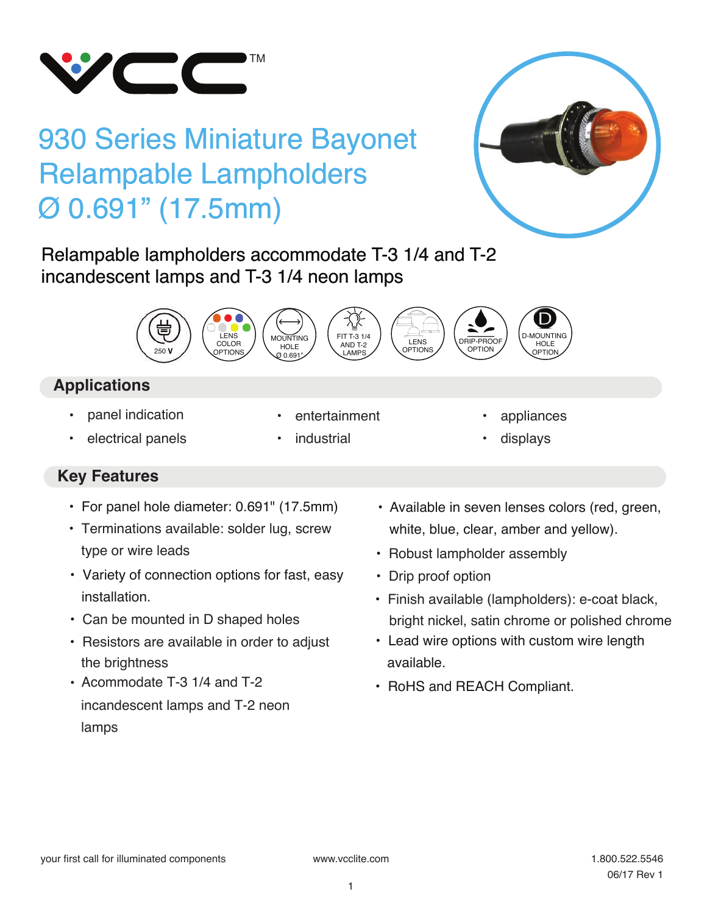

# 930 Series Miniature Bayonet Relampable Lampholders Ø 0.691" (17.5mm)

Relampable lampholders accommodate T-3 1/4 and T-2 incandescent lamps and T-3 1/4 neon lamps



# **Applications**

• panel indication

- entertainment
- electrical panels
- **industrial**
- appliances
- displays

- **Key Features**
	- For panel hole diameter: 0.691" (17.5mm)
	- type or wire leads • Terminations available: solder lug, screw
	- Variety of connection options for fast, easy installation.
	- Can be mounted in D shaped holes
	- Resistors are available in order to adjust the brightness
	- Acommodate T-3 1/4 and T-2  **RoHS and REACH Compliant.** • Acommodate T-3 1/4 and T-2 incandescent lamps and T-2 neon lamps
- Available in seven lenses colors (red, green, white, blue, clear, amber and yellow).
- Robust lampholder assembly
- Drip proof option
- Finish available (lampholders): e-coat black, bright nickel, satin chrome or polished chrome
- Lead wire options with custom wire length available.
-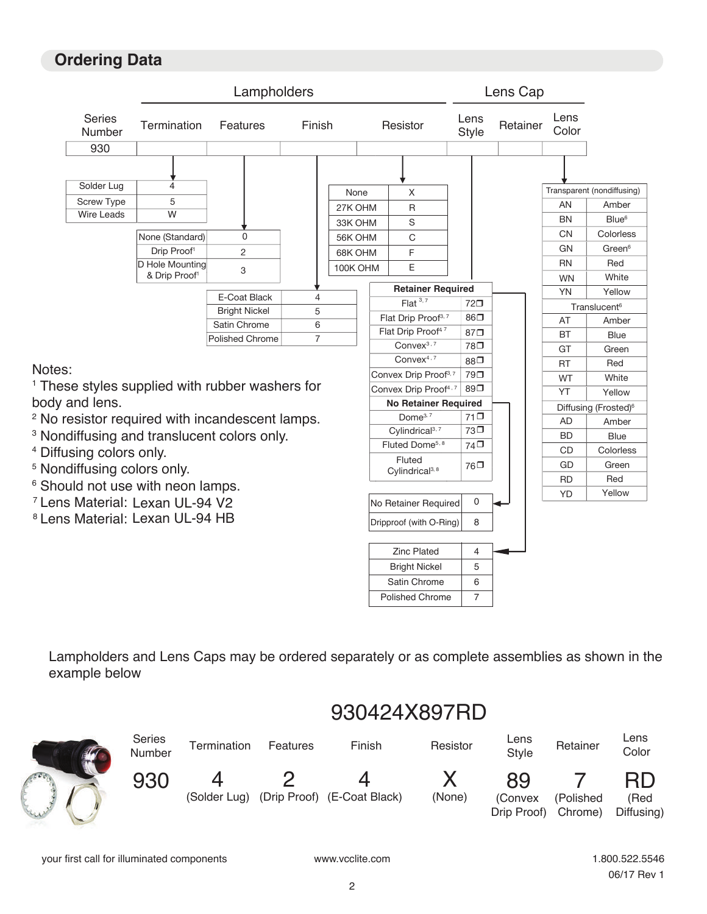### **Ordering Data**



Lampholders and Lens Caps may be ordered separately or as complete assemblies as shown in the example below



# 930424X897RD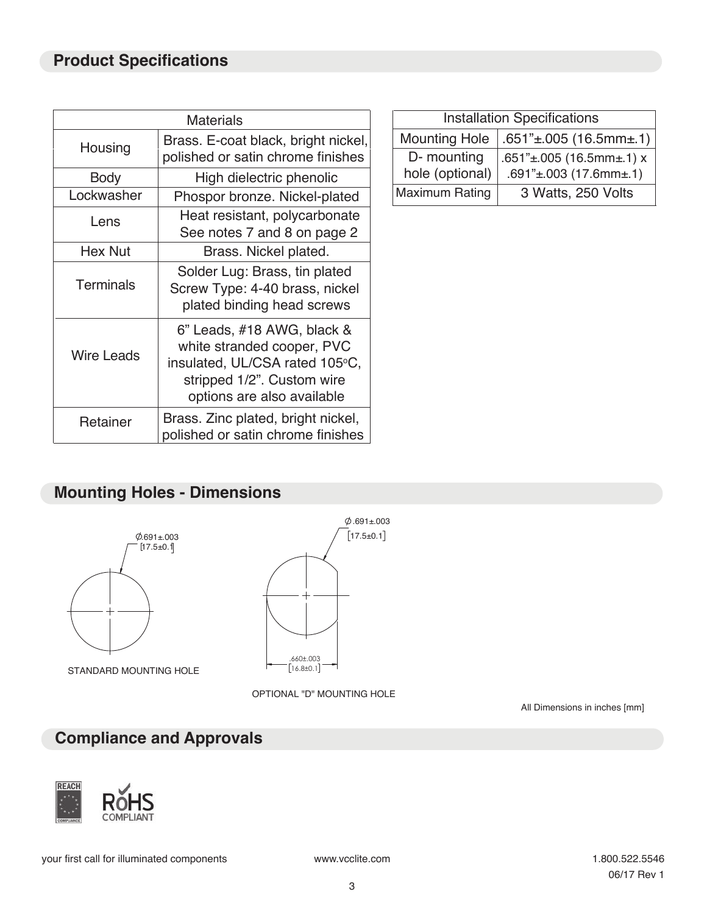| <b>Materials</b>  |                                                                                                                                                        |  | Installat                           |
|-------------------|--------------------------------------------------------------------------------------------------------------------------------------------------------|--|-------------------------------------|
| Housing           | Brass. E-coat black, bright nickel,<br>polished or satin chrome finishes                                                                               |  | <b>Mounting Hole</b><br>D- mounting |
| <b>Body</b>       | High dielectric phenolic                                                                                                                               |  | hole (optional)                     |
| Lockwasher        | Phospor bronze. Nickel-plated                                                                                                                          |  | <b>Maximum Rating</b>               |
| Lens              | Heat resistant, polycarbonate<br>See notes 7 and 8 on page 2                                                                                           |  |                                     |
| <b>Hex Nut</b>    | Brass. Nickel plated.                                                                                                                                  |  |                                     |
| <b>Terminals</b>  | Solder Lug: Brass, tin plated<br>Screw Type: 4-40 brass, nickel<br>plated binding head screws                                                          |  |                                     |
| <b>Wire Leads</b> | 6" Leads, #18 AWG, black &<br>white stranded cooper, PVC<br>insulated, UL/CSA rated 105°C,<br>stripped 1/2". Custom wire<br>options are also available |  |                                     |
| Retainer          | Brass. Zinc plated, bright nickel,<br>polished or satin chrome finishes                                                                                |  |                                     |

| <b>Installation Specifications</b> |                                       |  |  |  |
|------------------------------------|---------------------------------------|--|--|--|
| <b>Mounting Hole</b>               | $.651" \pm .005$ (16.5mm $\pm .1$ )   |  |  |  |
| D- mounting                        | $.651" \pm .005$ (16.5mm $\pm .1$ ) x |  |  |  |
| hole (optional)                    | $.691" \pm .003$ (17.6mm $\pm .1$ )   |  |  |  |
| Maximum Rating                     | 3 Watts, 250 Volts                    |  |  |  |

#### **Mounting Holes - Dimensions**



STANDARD MOUNTING HOLE



OPTIONAL "D" MOUNTING HOLE

All Dimensions in inches [mm]

# **Compliance and Approvals**



your first call for illuminated components www.vcclite.com and the state of the 1.800.522.5546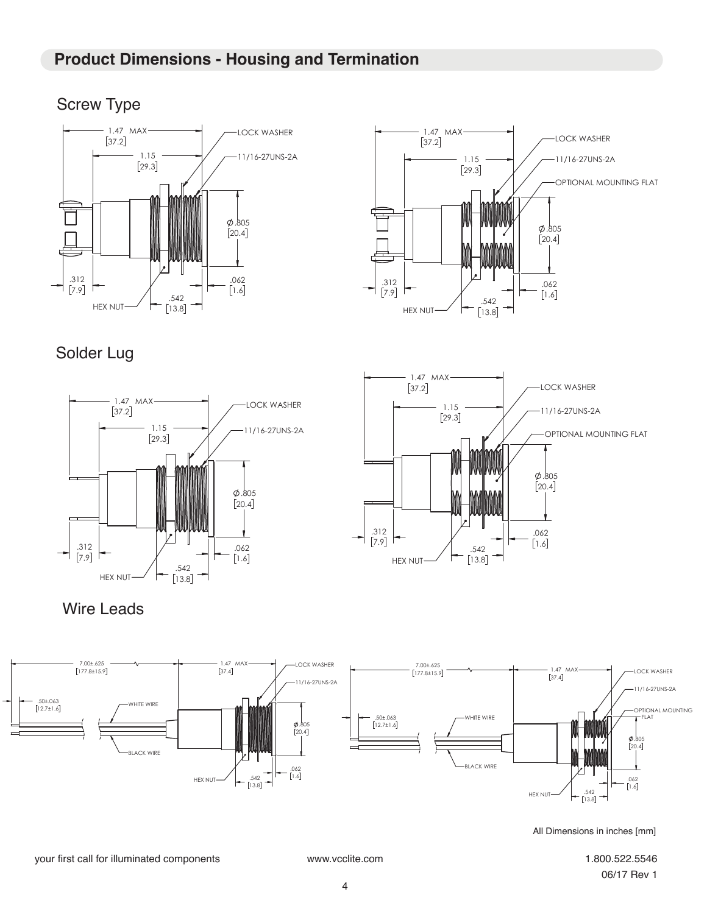### **Product Dimensions - Housing and Termination**

# Screw Type





# Solder Lug





Wire Leads



All Dimensions in inches [mm]

#### your first call for illuminated components www.vcclite.com 1.800.522.5546

06/17 Rev 1